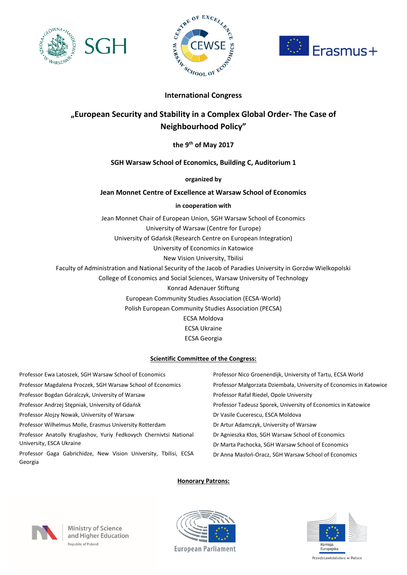





# **International Congress**

# **"European Security and Stability in a Complex Global Order- The Case of Neighbourhood Policy"**

**the 9 th of May 2017** 

# **SGH Warsaw School of Economics, Building C, Auditorium 1**

## **organized by**

# **Jean Monnet Centre of Excellence at Warsaw School of Economics**

## **in cooperation with**

Jean Monnet Chair of European Union, SGH Warsaw School of Economics University of Warsaw (Centre for Europe) University of Gdańsk (Research Centre on European Integration) University of Economics in Katowice New Vision University, Tbilisi Faculty of Administration and National Security of the Jacob of Paradies University in Gorzów Wielkopolski College of Economics and Social Sciences, Warsaw University of Technology Konrad Adenauer Stiftung European Community Studies Association (ECSA-World) Polish European Community Studies Association (PECSA) ECSA Moldova

ECSA Ukraine

ECSA Georgia

### **Scientific Committee of the Congress:**

| Professor Ewa Latoszek, SGH Warsaw School of Economics                      | Professor Nico Groenendijk, University of Tartu, ECSA World         |
|-----------------------------------------------------------------------------|---------------------------------------------------------------------|
| Professor Magdalena Proczek, SGH Warsaw School of Economics                 | Professor Małgorzata Dziembała, University of Economics in Katowice |
| Professor Bogdan Góralczyk, University of Warsaw                            | Professor Rafał Riedel, Opole University                            |
| Professor Andrzej Stepniak, University of Gdańsk                            | Professor Tadeusz Sporek, University of Economics in Katowice       |
| Professor Alojzy Nowak, University of Warsaw                                | Dr Vasile Cucerescu, ESCA Moldova                                   |
| Professor Wilhelmus Molle, Erasmus University Rotterdam                     | Dr Artur Adamczyk, University of Warsaw                             |
| Professor Anatolly Kruglashov, Yuriy Fedkovych Chernivtsi National          | Dr Agnieszka Kłos, SGH Warsaw School of Economics                   |
| University, ESCA Ukraine                                                    | Dr Marta Pachocka, SGH Warsaw School of Economics                   |
| Professor Gaga Gabrichidze, New Vision University, Tbilisi, ECSA<br>Georgia | Dr Anna Masłoń-Oracz, SGH Warsaw School of Economics                |

### **Honorary Patrons:**



**Ministry of Science** and Higher Education Republic of Poland